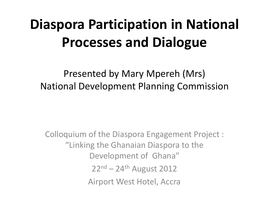# **Diaspora Participation in National Processes and Dialogue**

Presented by Mary Mpereh (Mrs) National Development Planning Commission

Colloquium of the Diaspora Engagement Project : "Linking the Ghanaian Diaspora to the Development of Ghana"  $22<sup>nd</sup> - 24<sup>th</sup>$  August 2012 Airport West Hotel, Accra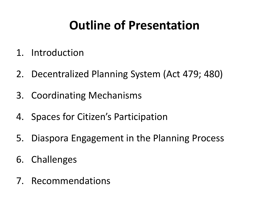## **Outline of Presentation**

- 1. Introduction
- 2. Decentralized Planning System (Act 479; 480)
- 3. Coordinating Mechanisms
- 4. Spaces for Citizen's Participation
- 5. Diaspora Engagement in the Planning Process
- 6. Challenges
- 7. Recommendations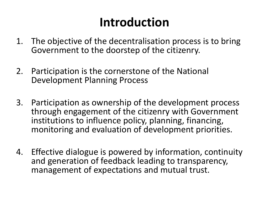## **Introduction**

- 1. The objective of the decentralisation process is to bring Government to the doorstep of the citizenry.
- 2. Participation is the cornerstone of the National Development Planning Process
- 3. Participation as ownership of the development process through engagement of the citizenry with Government institutions to influence policy, planning, financing, monitoring and evaluation of development priorities.
- 4. Effective dialogue is powered by information, continuity and generation of feedback leading to transparency, management of expectations and mutual trust.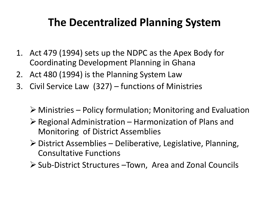#### **The Decentralized Planning System**

- 1. Act 479 (1994) sets up the NDPC as the Apex Body for Coordinating Development Planning in Ghana
- 2. Act 480 (1994) is the Planning System Law
- 3. Civil Service Law (327) functions of Ministries
	- $\triangleright$  Ministries Policy formulation; Monitoring and Evaluation
	- $\triangleright$  Regional Administration Harmonization of Plans and Monitoring of District Assemblies
	- $\triangleright$  District Assemblies Deliberative, Legislative, Planning, Consultative Functions
	- $\triangleright$  Sub-District Structures –Town, Area and Zonal Councils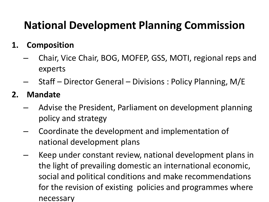### **National Development Planning Commission**

#### **1. Composition**

- Chair, Vice Chair, BOG, MOFEP, GSS, MOTI, regional reps and experts
- Staff Director General Divisions : Policy Planning, M/E

#### **2. Mandate**

- Advise the President, Parliament on development planning policy and strategy
- Coordinate the development and implementation of national development plans
- Keep under constant review, national development plans in the light of prevailing domestic an international economic, social and political conditions and make recommendations for the revision of existing policies and programmes where necessary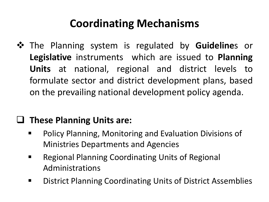### **Coordinating Mechanisms**

 $\dots$  The Planning system is regulated by **Guideline**s or **Legislative** instruments which are issued to **Planning Units** at national, regional and district levels to formulate sector and district development plans, based on the prevailing national development policy agenda.

#### **These Planning Units are:**

- Policy Planning, Monitoring and Evaluation Divisions of Ministries Departments and Agencies
- **Regional Planning Coordinating Units of Regional** Administrations
- **District Planning Coordinating Units of District Assemblies**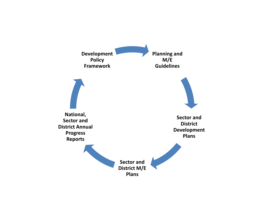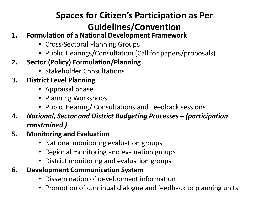#### **Spaces for Citizen's Participation as Per Guidelines/Convention**

- **1. Formulation of a National Development Framework**
	- Cross-Sectoral Planning Groups
	- Public Hearings/Consultation (Call for papers/proposals)
- **2. Sector (Policy) Formulation/Planning** 
	- Stakeholder Consultations
- **3. District Level Planning** 
	- Appraisal phase
	- Planning Workshops
	- Public Hearing/ Consultations and Feedback sessions
- *4. National, Sector and District Budgeting Processes – (participation constrained )*
- **5. Monitoring and Evaluation**
	- National monitoring evaluation groups
	- Regional monitoring and evaluation groups
	- District monitoring and evaluation groups
- **6. Development Communication System**
	- Dissemination of development information
	- Promotion of continual dialogue and feedback to planning units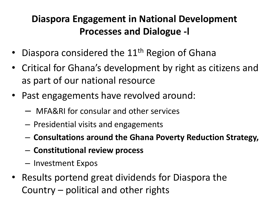#### **Diaspora Engagement in National Development Processes and Dialogue -l**

- Diaspora considered the  $11<sup>th</sup>$  Region of Ghana
- Critical for Ghana's development by right as citizens and as part of our national resource
- Past engagements have revolved around:
	- MFA&RI for consular and other services
	- Presidential visits and engagements
	- **Consultations around the Ghana Poverty Reduction Strategy,**
	- **Constitutional review process**
	- Investment Expos
- Results portend great dividends for Diaspora the Country – political and other rights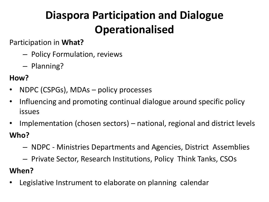### **Diaspora Participation and Dialogue Operationalised**

Participation in **What?** 

- Policy Formulation, reviews
- Planning?

#### **How?**

- NDPC (CSPGs), MDAs policy processes
- Influencing and promoting continual dialogue around specific policy issues
- Implementation (chosen sectors) national, regional and district levels **Who?**
	- NDPC Ministries Departments and Agencies, District Assemblies
	- Private Sector, Research Institutions, Policy Think Tanks, CSOs

#### **When?**

Legislative Instrument to elaborate on planning calendar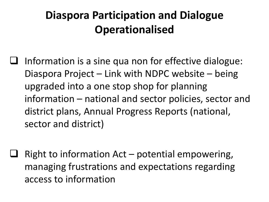### **Diaspora Participation and Dialogue Operationalised**

- Information is a sine qua non for effective dialogue: Diaspora Project – Link with NDPC website – being upgraded into a one stop shop for planning information – national and sector policies, sector and district plans, Annual Progress Reports (national, sector and district)
- Right to information Act potential empowering, managing frustrations and expectations regarding access to information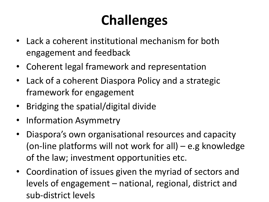# **Challenges**

- Lack a coherent institutional mechanism for both engagement and feedback
- Coherent legal framework and representation
- Lack of a coherent Diaspora Policy and a strategic framework for engagement
- Bridging the spatial/digital divide
- Information Asymmetry
- Diaspora's own organisational resources and capacity (on-line platforms will not work for all) – e.g knowledge of the law; investment opportunities etc.
- Coordination of issues given the myriad of sectors and levels of engagement – national, regional, district and sub-district levels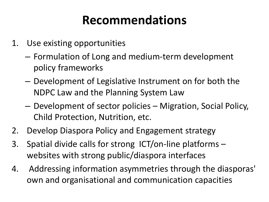- 1. Use existing opportunities
	- Formulation of Long and medium-term development policy frameworks
	- Development of Legislative Instrument on for both the NDPC Law and the Planning System Law
	- Development of sector policies Migration, Social Policy, Child Protection, Nutrition, etc.
- 2. Develop Diaspora Policy and Engagement strategy
- 3. Spatial divide calls for strong ICT/on-line platforms websites with strong public/diaspora interfaces
- 4. Addressing information asymmetries through the diasporas' own and organisational and communication capacities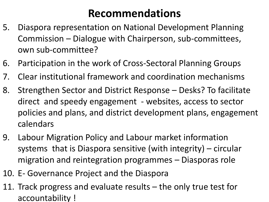- 5. Diaspora representation on National Development Planning Commission – Dialogue with Chairperson, sub-committees, own sub-committee?
- 6. Participation in the work of Cross-Sectoral Planning Groups
- 7. Clear institutional framework and coordination mechanisms
- 8. Strengthen Sector and District Response Desks? To facilitate direct and speedy engagement - websites, access to sector policies and plans, and district development plans, engagement calendars
- 9. Labour Migration Policy and Labour market information systems that is Diaspora sensitive (with integrity) – circular migration and reintegration programmes – Diasporas role
- 10. E- Governance Project and the Diaspora
- 11. Track progress and evaluate results the only true test for accountability !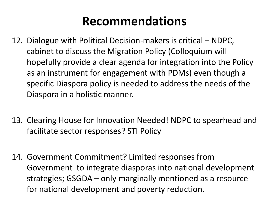- 12. Dialogue with Political Decision-makers is critical NDPC, cabinet to discuss the Migration Policy (Colloquium will hopefully provide a clear agenda for integration into the Policy as an instrument for engagement with PDMs) even though a specific Diaspora policy is needed to address the needs of the Diaspora in a holistic manner.
- 13. Clearing House for Innovation Needed! NDPC to spearhead and facilitate sector responses? STI Policy
- 14. Government Commitment? Limited responses from Government to integrate diasporas into national development strategies; GSGDA – only marginally mentioned as a resource for national development and poverty reduction.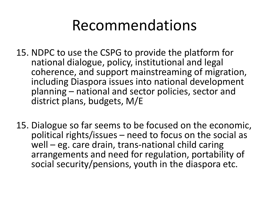- 15. NDPC to use the CSPG to provide the platform for national dialogue, policy, institutional and legal coherence, and support mainstreaming of migration, including Diaspora issues into national development planning – national and sector policies, sector and district plans, budgets, M/E
- 15. Dialogue so far seems to be focused on the economic, political rights/issues – need to focus on the social as well – eg. care drain, trans-national child caring arrangements and need for regulation, portability of social security/pensions, youth in the diaspora etc.